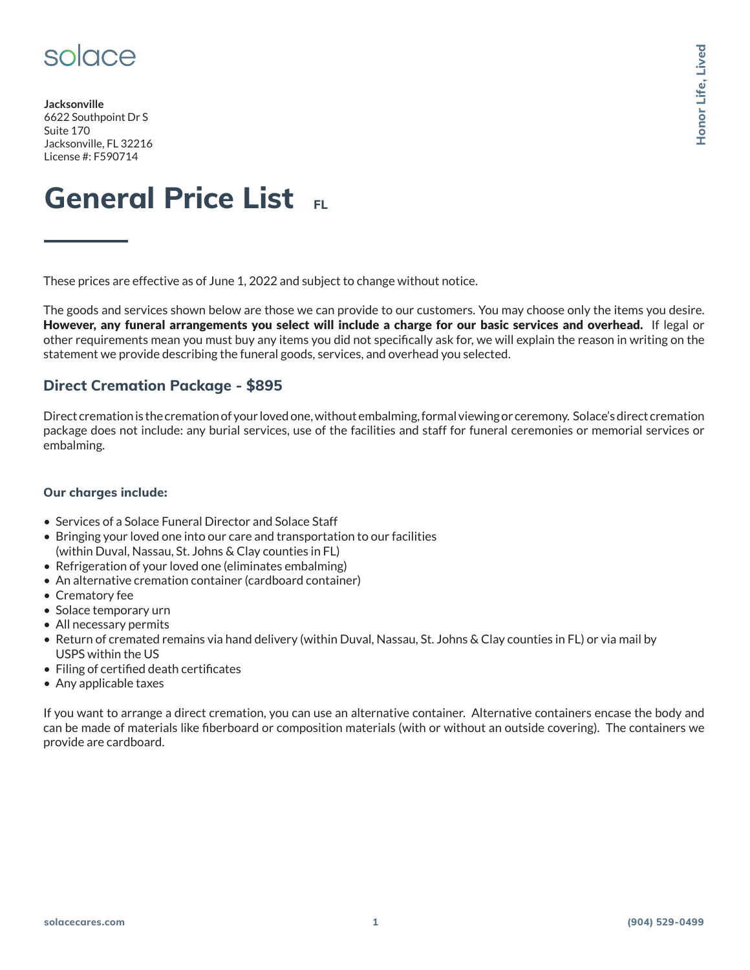

**Jacksonville** 6622 Southpoint Dr S Suite 170 Jacksonville, FL 32216 License #: F590714

# **General Price List**

These prices are effective as of June 1, 2022 and subject to change without notice.

The goods and services shown below are those we can provide to our customers. You may choose only the items you desire. However, any funeral arrangements you select will include a charge for our basic services and overhead. If legal or other requirements mean you must buy any items you did not specifically ask for, we will explain the reason in writing on the statement we provide describing the funeral goods, services, and overhead you selected. Solo CIC-C<br> **solacecies**<br> **solacecular interactions of the 1.2022** and subject to change visito at the ran of property the liven you desire<br> **Solar First 2023**<br> **Honor Life (2029)**<br> **Honor Life (2029)**<br> **Honor Life (2029)** 

### **Direct Cremation Package - \$895**

Direct cremation is the cremation of your loved one, without embalming, formal viewing or ceremony. Solace's direct cremation package does not include: any burial services, use of the facilities and staff for funeral ceremonies or memorial services or embalming.

#### **Our charges include:**

- Services of a Solace Funeral Director and Solace Staff
- Bringing your loved one into our care and transportation to our facilities (within Duval, Nassau, St. Johns & Clay counties in FL)
- Refrigeration of your loved one (eliminates embalming)
- An alternative cremation container (cardboard container)
- Crematory fee
- Solace temporary urn
- All necessary permits
- Return of cremated remains via hand delivery (within Duval, Nassau, St. Johns & Clay counties in FL) or via mail by USPS within the US
- Filing of certified death certificates
- Any applicable taxes

If you want to arrange a direct cremation, you can use an alternative container. Alternative containers encase the body and can be made of materials like fiberboard or composition materials (with or without an outside covering). The containers we provide are cardboard.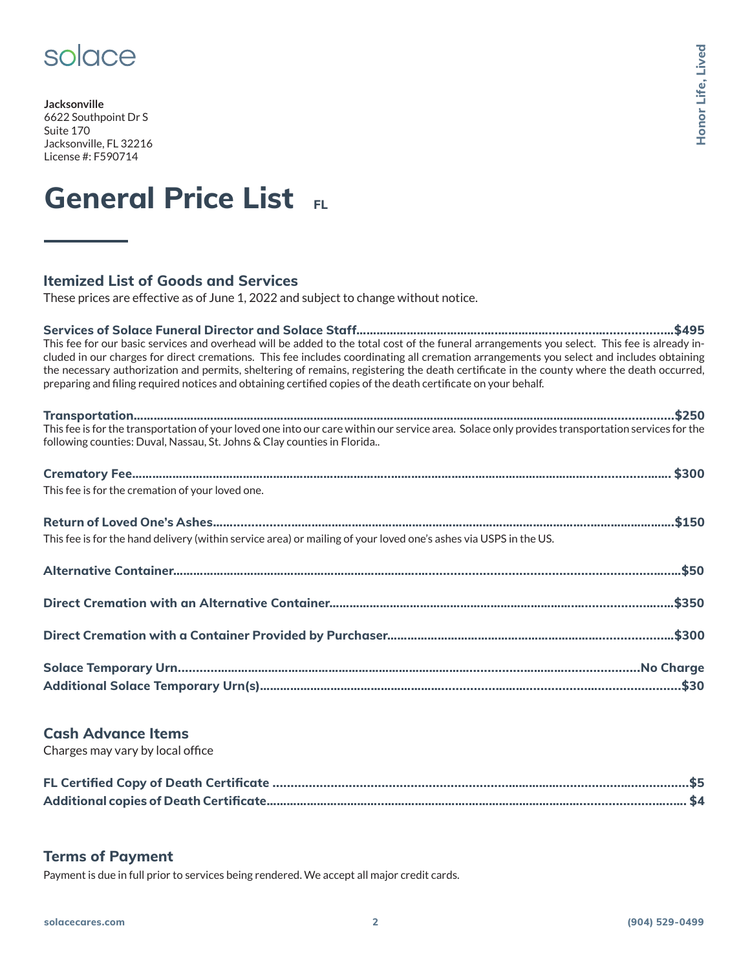### solace

**Jacksonville** 6622 Southpoint Dr S Suite 170 Jacksonville, FL 32216 License #: F590714

# **General Price List**

### **Itemized List of Goods and Services**

These prices are effective as of June 1, 2022 and subject to change without notice.

**Services of Solace Funeral Director and Solace Staff………………………………..….…………….............…................…\$495** This fee for our basic services and overhead will be added to the total cost of the funeral arrangements you select. This fee is already included in our charges for direct cremations. This fee includes coordinating all cremation arrangements you select and includes obtaining the necessary authorization and permits, sheltering of remains, registering the death certificate in the county where the death occurred, preparing and filing required notices and obtaining certified copies of the death certificate on your behalf.

| following counties: Duval, Nassau, St. Johns & Clay counties in Florida                                          |
|------------------------------------------------------------------------------------------------------------------|
| This fee is for the cremation of your loved one.                                                                 |
| This fee is for the hand delivery (within service area) or mailing of your loved one's ashes via USPS in the US. |
|                                                                                                                  |
|                                                                                                                  |
|                                                                                                                  |
|                                                                                                                  |

#### **Cash Advance Items**

Charges may vary by local office

#### **Terms of Payment**

Payment is due in full prior to services being rendered. We accept all major credit cards.

**Honor Life, Lived**

Honor Life, Lived